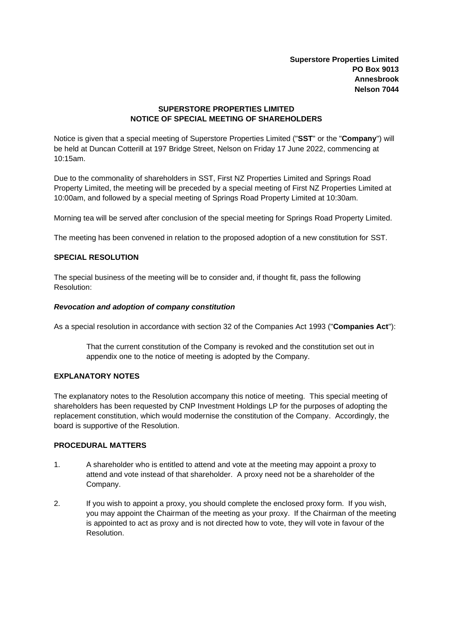**Superstore Properties Limited PO Box 9013 Annesbrook Nelson 7044**

## **SUPERSTORE PROPERTIES LIMITED NOTICE OF SPECIAL MEETING OF SHAREHOLDERS**

Notice is given that a special meeting of Superstore Properties Limited ("**SST**" or the "**Company**") will be held at Duncan Cotterill at 197 Bridge Street, Nelson on Friday 17 June 2022, commencing at 10:15am.

Due to the commonality of shareholders in SST, First NZ Properties Limited and Springs Road Property Limited, the meeting will be preceded by a special meeting of First NZ Properties Limited at 10:00am, and followed by a special meeting of Springs Road Property Limited at 10:30am.

Morning tea will be served after conclusion of the special meeting for Springs Road Property Limited.

The meeting has been convened in relation to the proposed adoption of a new constitution for SST.

## **SPECIAL RESOLUTION**

The special business of the meeting will be to consider and, if thought fit, pass the following Resolution:

### *Revocation and adoption of company constitution*

As a special resolution in accordance with section 32 of the Companies Act 1993 ("**Companies Act**"):

That the current constitution of the Company is revoked and the constitution set out in appendix one to the notice of meeting is adopted by the Company.

### **EXPLANATORY NOTES**

The explanatory notes to the Resolution accompany this notice of meeting. This special meeting of shareholders has been requested by CNP Investment Holdings LP for the purposes of adopting the replacement constitution, which would modernise the constitution of the Company. Accordingly, the board is supportive of the Resolution.

# **PROCEDURAL MATTERS**

- 1. A shareholder who is entitled to attend and vote at the meeting may appoint a proxy to attend and vote instead of that shareholder. A proxy need not be a shareholder of the Company.
- 2. If you wish to appoint a proxy, you should complete the enclosed proxy form. If you wish, you may appoint the Chairman of the meeting as your proxy. If the Chairman of the meeting is appointed to act as proxy and is not directed how to vote, they will vote in favour of the Resolution.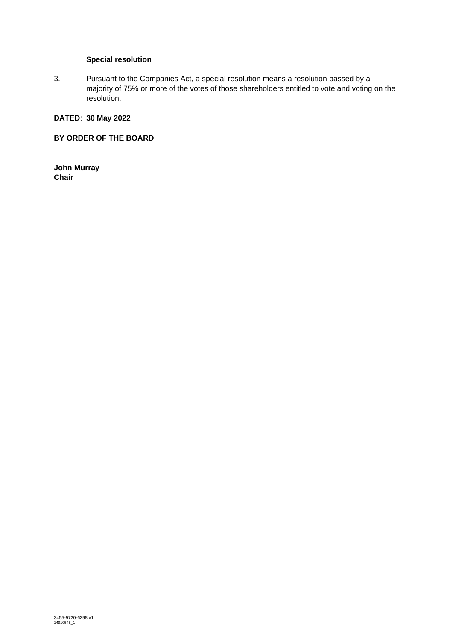# **Special resolution**

3. Pursuant to the Companies Act, a special resolution means a resolution passed by a majority of 75% or more of the votes of those shareholders entitled to vote and voting on the resolution.

# **DATED**: **30 May 2022**

## **BY ORDER OF THE BOARD**

**John Murray Chair**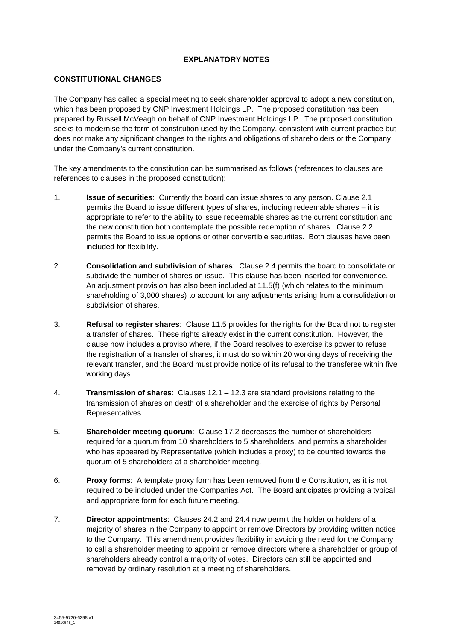# **EXPLANATORY NOTES**

## **CONSTITUTIONAL CHANGES**

The Company has called a special meeting to seek shareholder approval to adopt a new constitution, which has been proposed by CNP Investment Holdings LP. The proposed constitution has been prepared by Russell McVeagh on behalf of CNP Investment Holdings LP. The proposed constitution seeks to modernise the form of constitution used by the Company, consistent with current practice but does not make any significant changes to the rights and obligations of shareholders or the Company under the Company's current constitution.

The key amendments to the constitution can be summarised as follows (references to clauses are references to clauses in the proposed constitution):

- 1. **Issue of securities**: Currently the board can issue shares to any person. Clause 2.1 permits the Board to issue different types of shares, including redeemable shares – it is appropriate to refer to the ability to issue redeemable shares as the current constitution and the new constitution both contemplate the possible redemption of shares. Clause 2.2 permits the Board to issue options or other convertible securities. Both clauses have been included for flexibility.
- 2. **Consolidation and subdivision of shares**: Clause 2.4 permits the board to consolidate or subdivide the number of shares on issue. This clause has been inserted for convenience. An adjustment provision has also been included at 11.5(f) (which relates to the minimum shareholding of 3,000 shares) to account for any adjustments arising from a consolidation or subdivision of shares.
- 3. **Refusal to register shares**: Clause 11.5 provides for the rights for the Board not to register a transfer of shares. These rights already exist in the current constitution. However, the clause now includes a proviso where, if the Board resolves to exercise its power to refuse the registration of a transfer of shares, it must do so within 20 working days of receiving the relevant transfer, and the Board must provide notice of its refusal to the transferee within five working days.
- 4. **Transmission of shares**: Clauses 12.1 12.3 are standard provisions relating to the transmission of shares on death of a shareholder and the exercise of rights by Personal Representatives.
- 5. **Shareholder meeting quorum**: Clause 17.2 decreases the number of shareholders required for a quorum from 10 shareholders to 5 shareholders, and permits a shareholder who has appeared by Representative (which includes a proxy) to be counted towards the quorum of 5 shareholders at a shareholder meeting.
- 6. **Proxy forms**: A template proxy form has been removed from the Constitution, as it is not required to be included under the Companies Act. The Board anticipates providing a typical and appropriate form for each future meeting.
- 7. **Director appointments**: Clauses 24.2 and 24.4 now permit the holder or holders of a majority of shares in the Company to appoint or remove Directors by providing written notice to the Company. This amendment provides flexibility in avoiding the need for the Company to call a shareholder meeting to appoint or remove directors where a shareholder or group of shareholders already control a majority of votes. Directors can still be appointed and removed by ordinary resolution at a meeting of shareholders.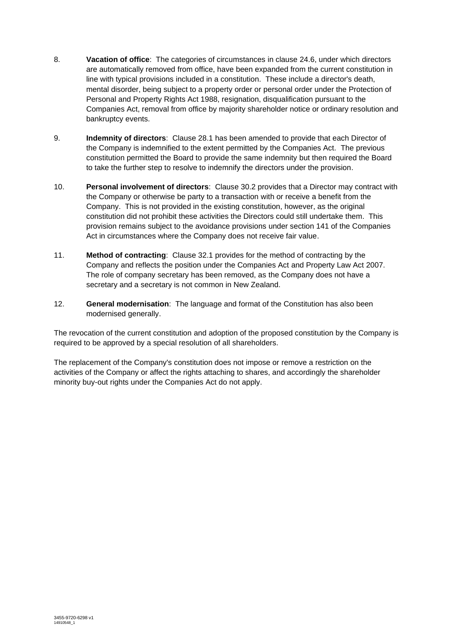- 8. **Vacation of office**: The categories of circumstances in clause 24.6, under which directors are automatically removed from office, have been expanded from the current constitution in line with typical provisions included in a constitution. These include a director's death, mental disorder, being subject to a property order or personal order under the Protection of Personal and Property Rights Act 1988, resignation, disqualification pursuant to the Companies Act, removal from office by majority shareholder notice or ordinary resolution and bankruptcy events.
- 9. **Indemnity of directors**: Clause 28.1 has been amended to provide that each Director of the Company is indemnified to the extent permitted by the Companies Act. The previous constitution permitted the Board to provide the same indemnity but then required the Board to take the further step to resolve to indemnify the directors under the provision.
- 10. **Personal involvement of directors**: Clause 30.2 provides that a Director may contract with the Company or otherwise be party to a transaction with or receive a benefit from the Company. This is not provided in the existing constitution, however, as the original constitution did not prohibit these activities the Directors could still undertake them. This provision remains subject to the avoidance provisions under section 141 of the Companies Act in circumstances where the Company does not receive fair value.
- 11. **Method of contracting**: Clause 32.1 provides for the method of contracting by the Company and reflects the position under the Companies Act and Property Law Act 2007. The role of company secretary has been removed, as the Company does not have a secretary and a secretary is not common in New Zealand.
- 12. **General modernisation**: The language and format of the Constitution has also been modernised generally.

The revocation of the current constitution and adoption of the proposed constitution by the Company is required to be approved by a special resolution of all shareholders.

The replacement of the Company's constitution does not impose or remove a restriction on the activities of the Company or affect the rights attaching to shares, and accordingly the shareholder minority buy-out rights under the Companies Act do not apply.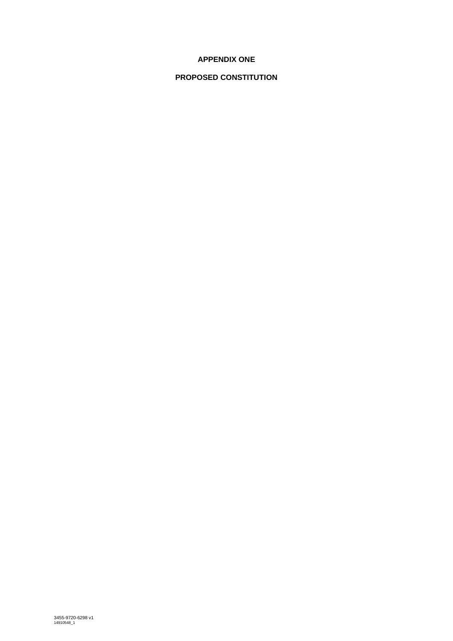# **APPENDIX ONE**

# **PROPOSED CONSTITUTION**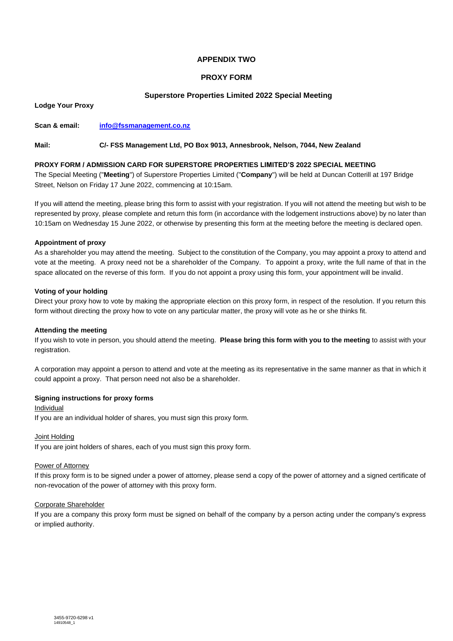## **APPENDIX TWO**

## **PROXY FORM**

## **Superstore Properties Limited 2022 Special Meeting**

**Lodge Your Proxy**

**Scan & email: [info@fssmanagement.co.nz](mailto:info@fssmanagement.co.nz)**

### **Mail: C/- FSS Management Ltd, PO Box 9013, Annesbrook, Nelson, 7044, New Zealand**

#### **PROXY FORM / ADMISSION CARD FOR SUPERSTORE PROPERTIES LIMITED'S 2022 SPECIAL MEETING**

The Special Meeting ("**Meeting**") of Superstore Properties Limited ("**Company**") will be held at Duncan Cotterill at 197 Bridge Street, Nelson on Friday 17 June 2022, commencing at 10:15am.

If you will attend the meeting, please bring this form to assist with your registration. If you will not attend the meeting but wish to be represented by proxy, please complete and return this form (in accordance with the lodgement instructions above) by no later than 10:15am on Wednesday 15 June 2022, or otherwise by presenting this form at the meeting before the meeting is declared open.

#### **Appointment of proxy**

As a shareholder you may attend the meeting. Subject to the constitution of the Company, you may appoint a proxy to attend and vote at the meeting. A proxy need not be a shareholder of the Company. To appoint a proxy, write the full name of that in the space allocated on the reverse of this form. If you do not appoint a proxy using this form, your appointment will be invalid.

#### **Voting of your holding**

Direct your proxy how to vote by making the appropriate election on this proxy form, in respect of the resolution. If you return this form without directing the proxy how to vote on any particular matter, the proxy will vote as he or she thinks fit.

#### **Attending the meeting**

If you wish to vote in person, you should attend the meeting. **Please bring this form with you to the meeting** to assist with your registration.

A corporation may appoint a person to attend and vote at the meeting as its representative in the same manner as that in which it could appoint a proxy. That person need not also be a shareholder.

### **Signing instructions for proxy forms**

Individual

If you are an individual holder of shares, you must sign this proxy form.

#### Joint Holding

If you are joint holders of shares, each of you must sign this proxy form.

#### Power of Attorney

If this proxy form is to be signed under a power of attorney, please send a copy of the power of attorney and a signed certificate of non-revocation of the power of attorney with this proxy form.

### Corporate Shareholder

If you are a company this proxy form must be signed on behalf of the company by a person acting under the company's express or implied authority.